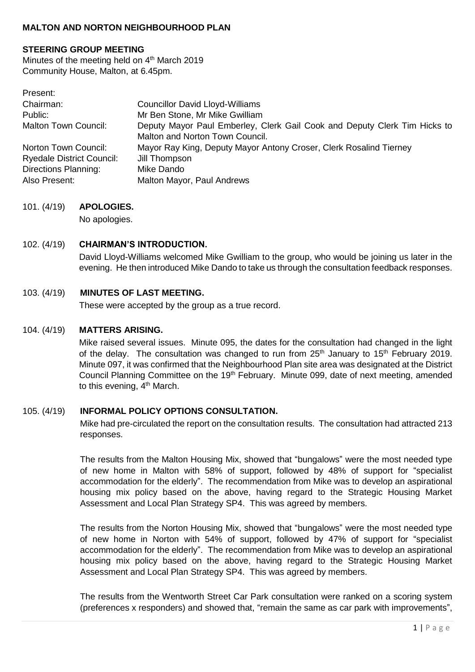## **MALTON AND NORTON NEIGHBOURHOOD PLAN**

#### **STEERING GROUP MEETING**

Minutes of the meeting held on 4<sup>th</sup> March 2019 Community House, Malton, at 6.45pm.

| Present:                         |                                                                                                              |
|----------------------------------|--------------------------------------------------------------------------------------------------------------|
| Chairman:                        | <b>Councillor David Lloyd-Williams</b>                                                                       |
| Public:                          | Mr Ben Stone, Mr Mike Gwilliam                                                                               |
| <b>Malton Town Council:</b>      | Deputy Mayor Paul Emberley, Clerk Gail Cook and Deputy Clerk Tim Hicks to<br>Malton and Norton Town Council. |
| Norton Town Council:             | Mayor Ray King, Deputy Mayor Antony Croser, Clerk Rosalind Tierney                                           |
| <b>Ryedale District Council:</b> | Jill Thompson                                                                                                |
| <b>Directions Planning:</b>      | Mike Dando                                                                                                   |
| Also Present:                    | Malton Mayor, Paul Andrews                                                                                   |

#### 101. (4/19) **APOLOGIES.**

No apologies.

# 102. (4/19) **CHAIRMAN'S INTRODUCTION.** David Lloyd-Williams welcomed Mike Gwilliam to the group, who would be joining us later in the evening. He then introduced Mike Dando to take us through the consultation feedback responses.

## 103. (4/19) **MINUTES OF LAST MEETING.**

These were accepted by the group as a true record.

#### 104. (4/19) **MATTERS ARISING.**

Mike raised several issues. Minute 095, the dates for the consultation had changed in the light of the delay. The consultation was changed to run from  $25<sup>th</sup>$  January to  $15<sup>th</sup>$  February 2019. Minute 097, it was confirmed that the Neighbourhood Plan site area was designated at the District Council Planning Committee on the 19<sup>th</sup> February. Minute 099, date of next meeting, amended to this evening, 4<sup>th</sup> March.

#### 105. (4/19) **INFORMAL POLICY OPTIONS CONSULTATION.**

Mike had pre-circulated the report on the consultation results. The consultation had attracted 213 responses.

The results from the Malton Housing Mix, showed that "bungalows" were the most needed type of new home in Malton with 58% of support, followed by 48% of support for "specialist accommodation for the elderly". The recommendation from Mike was to develop an aspirational housing mix policy based on the above, having regard to the Strategic Housing Market Assessment and Local Plan Strategy SP4. This was agreed by members.

The results from the Norton Housing Mix, showed that "bungalows" were the most needed type of new home in Norton with 54% of support, followed by 47% of support for "specialist accommodation for the elderly". The recommendation from Mike was to develop an aspirational housing mix policy based on the above, having regard to the Strategic Housing Market Assessment and Local Plan Strategy SP4. This was agreed by members.

The results from the Wentworth Street Car Park consultation were ranked on a scoring system (preferences x responders) and showed that, "remain the same as car park with improvements",